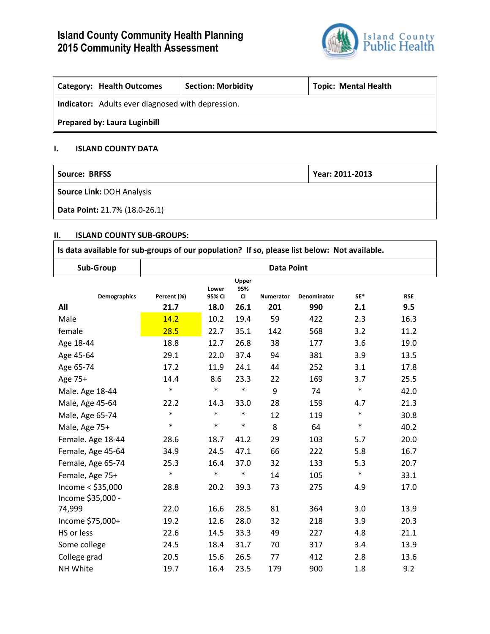# **Island County Community Health Planning 2015 Community Health Assessment**



| <b>Category: Health Outcomes</b>                  | <b>Section: Morbidity</b> | <b>Topic: Mental Health</b> |  |  |  |  |
|---------------------------------------------------|---------------------------|-----------------------------|--|--|--|--|
| Indicator: Adults ever diagnosed with depression. |                           |                             |  |  |  |  |
| <b>Prepared by: Laura Luginbill</b>               |                           |                             |  |  |  |  |

# **I. ISLAND COUNTY DATA**

| Source: BRFSS                    | Year: 2011-2013 |  |  |
|----------------------------------|-----------------|--|--|
| <b>Source Link: DOH Analysis</b> |                 |  |  |
| Data Point: 21.7% (18.0-26.1)    |                 |  |  |

## **II. ISLAND COUNTY SUB-GROUPS:**

| Is data available for sub-groups of our population? If so, please list below: Not available. |                   |                 |                           |                  |                    |        |            |
|----------------------------------------------------------------------------------------------|-------------------|-----------------|---------------------------|------------------|--------------------|--------|------------|
| Sub-Group                                                                                    | <b>Data Point</b> |                 |                           |                  |                    |        |            |
| <b>Demographics</b>                                                                          | Percent (%)       | Lower<br>95% CI | Upper<br>95%<br><b>CI</b> | <b>Numerator</b> | <b>Denominator</b> | SE*    | <b>RSE</b> |
| All                                                                                          | 21.7              | 18.0            | 26.1                      | 201              | 990                | 2.1    | 9.5        |
| Male                                                                                         | 14.2              | 10.2            | 19.4                      | 59               | 422                | 2.3    | 16.3       |
| female                                                                                       | 28.5              | 22.7            | 35.1                      | 142              | 568                | 3.2    | 11.2       |
| Age 18-44                                                                                    | 18.8              | 12.7            | 26.8                      | 38               | 177                | 3.6    | 19.0       |
| Age 45-64                                                                                    | 29.1              | 22.0            | 37.4                      | 94               | 381                | 3.9    | 13.5       |
| Age 65-74                                                                                    | 17.2              | 11.9            | 24.1                      | 44               | 252                | 3.1    | 17.8       |
| Age 75+                                                                                      | 14.4              | 8.6             | 23.3                      | 22               | 169                | 3.7    | 25.5       |
| Male. Age 18-44                                                                              | $\ast$            | $\ast$          | $\ast$                    | 9                | 74                 | $\ast$ | 42.0       |
| Male, Age 45-64                                                                              | 22.2              | 14.3            | 33.0                      | 28               | 159                | 4.7    | 21.3       |
| Male, Age 65-74                                                                              | $\ast$            | $\ast$          | $\ast$                    | 12               | 119                | $\ast$ | 30.8       |
| Male, Age 75+                                                                                | $\ast$            | $\ast$          | $\ast$                    | 8                | 64                 | $\ast$ | 40.2       |
| Female. Age 18-44                                                                            | 28.6              | 18.7            | 41.2                      | 29               | 103                | 5.7    | 20.0       |
| Female, Age 45-64                                                                            | 34.9              | 24.5            | 47.1                      | 66               | 222                | 5.8    | 16.7       |
| Female, Age 65-74                                                                            | 25.3              | 16.4            | 37.0                      | 32               | 133                | 5.3    | 20.7       |
| Female, Age 75+                                                                              | $\ast$            | $\ast$          | $\ast$                    | 14               | 105                | $\ast$ | 33.1       |
| Income < \$35,000<br>Income \$35,000 -                                                       | 28.8              | 20.2            | 39.3                      | 73               | 275                | 4.9    | 17.0       |
| 74,999                                                                                       | 22.0              | 16.6            | 28.5                      | 81               | 364                | 3.0    | 13.9       |
| Income \$75,000+                                                                             | 19.2              | 12.6            | 28.0                      | 32               | 218                | 3.9    | 20.3       |
| HS or less                                                                                   | 22.6              | 14.5            | 33.3                      | 49               | 227                | 4.8    | 21.1       |
| Some college                                                                                 | 24.5              | 18.4            | 31.7                      | 70               | 317                | 3.4    | 13.9       |
| College grad                                                                                 | 20.5              | 15.6            | 26.5                      | 77               | 412                | 2.8    | 13.6       |
| NH White                                                                                     | 19.7              | 16.4            | 23.5                      | 179              | 900                | 1.8    | 9.2        |